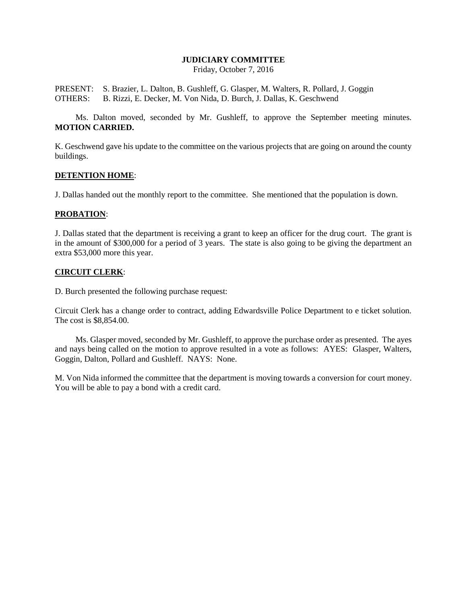# **JUDICIARY COMMITTEE**

Friday, October 7, 2016

PRESENT: S. Brazier, L. Dalton, B. Gushleff, G. Glasper, M. Walters, R. Pollard, J. Goggin OTHERS: B. Rizzi, E. Decker, M. Von Nida, D. Burch, J. Dallas, K. Geschwend

Ms. Dalton moved, seconded by Mr. Gushleff, to approve the September meeting minutes. **MOTION CARRIED.**

K. Geschwend gave his update to the committee on the various projects that are going on around the county buildings.

### **DETENTION HOME**:

J. Dallas handed out the monthly report to the committee. She mentioned that the population is down.

# **PROBATION**:

J. Dallas stated that the department is receiving a grant to keep an officer for the drug court. The grant is in the amount of \$300,000 for a period of 3 years. The state is also going to be giving the department an extra \$53,000 more this year.

### **CIRCUIT CLERK**:

D. Burch presented the following purchase request:

Circuit Clerk has a change order to contract, adding Edwardsville Police Department to e ticket solution. The cost is \$8,854.00.

Ms. Glasper moved, seconded by Mr. Gushleff, to approve the purchase order as presented. The ayes and nays being called on the motion to approve resulted in a vote as follows: AYES: Glasper, Walters, Goggin, Dalton, Pollard and Gushleff. NAYS: None.

M. Von Nida informed the committee that the department is moving towards a conversion for court money. You will be able to pay a bond with a credit card.